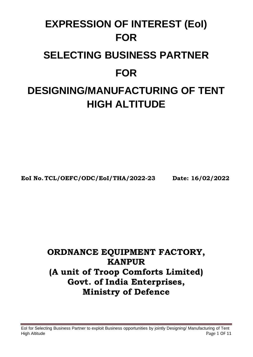# **EXPRESSION OF INTEREST (EoI) FOR SELECTING BUSINESS PARTNER FOR DESIGNING/MANUFACTURING OF TENT HIGH ALTITUDE**

**EoI No. TCL/OEFC/ODC/EoI/THA/2022-23 Date: 16/02/2022**

## **ORDNANCE EQUIPMENT FACTORY, KANPUR (A unit of Troop Comforts Limited) Govt. of India Enterprises, Ministry of Defence**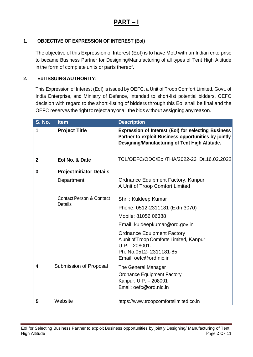## **PART – I**

#### **1. OBJECTIVE OF EXPRESSION OF INTEREST (EoI)**

The objective of this Expression of Interest (EoI) is to have MoU with an Indian enterprise to became Business Partner for Designing/Manufacturing of all types of Tent High Altitude in the form of complete units or parts thereof.

#### **2. EoI ISSUING AUTHORITY:**

This Expression of Interest (EoI) is issued by OEFC, a Unit of Troop Comfort Limited, Govt. of India Enterprise, and Ministry of Defence, intended to short-list potential bidders. OEFC decision with regard to the short -listing of bidders through this EoI shall be final and the OEFC reserves the right to reject anyorall the bidswithout assigningany reason.

| <b>S. No.</b>  | <b>Item</b>                                           | <b>Description</b>                                                                                                                                                   |
|----------------|-------------------------------------------------------|----------------------------------------------------------------------------------------------------------------------------------------------------------------------|
| 1              | <b>Project Title</b>                                  | <b>Expression of Interest (EoI) for selecting Business</b><br>Partner to exploit Business opportunities by jointly<br>Designing/Manufacturing of Tent High Altitude. |
| $\overline{2}$ | Eol No. & Date                                        | TCL/OEFC/ODC/Eol/THA/2022-23 Dt.16.02.2022                                                                                                                           |
| 3              | <b>ProjectInitiator Details</b>                       |                                                                                                                                                                      |
|                | Department                                            | <b>Ordnance Equipment Factory, Kanpur</b><br>A Unit of Troop Comfort Limited                                                                                         |
|                | <b>Contact Person &amp; Contact</b><br><b>Details</b> | Shri: Kuldeep Kumar                                                                                                                                                  |
|                |                                                       | Phone: 0512-2311181 (Extn 3070)                                                                                                                                      |
|                |                                                       | Mobile: 81056 06388                                                                                                                                                  |
|                |                                                       | Email: kuldeepkumar@ord.gov.in                                                                                                                                       |
|                |                                                       | <b>Ordnance Equipment Factory</b><br>A unit of Troop Comforts Limited, Kanpur<br>$U.P. - 208001.$<br>Ph. No.0512-2311181-85<br>Email: oefc@ord.nic.in                |
| 4              | Submission of Proposal                                | The General Manager<br><b>Ordnance Equipment Factory</b><br>Kanpur, U.P. - 208001<br>Email: oefc@ord.nic.in                                                          |
| 5              | Website                                               | https://www.troopcomfortslimited.co.in                                                                                                                               |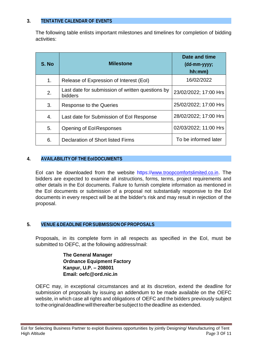#### **3. TENTATIVE CALENDAR OF EVENTS**

The following table enlists important milestones and timelines for completion of bidding activities:

| S. No          | <b>Milestone</b>                                                   | Date and time<br>(dd-mm-yyyy;<br>hh:mm) |
|----------------|--------------------------------------------------------------------|-----------------------------------------|
| 1 <sub>1</sub> | Release of Expression of Interest (EoI)                            | 16/02/2022                              |
| 2.             | Last date for submission of written questions by<br><b>bidders</b> | 23/02/2022; 17:00 Hrs                   |
| 3.             | Response to the Queries                                            | 25/02/2022; 17:00 Hrs                   |
| 4.             | Last date for Submission of Eol Response                           | 28/02/2022; 17:00 Hrs                   |
| 5.             | <b>Opening of EolResponses</b>                                     | 02/03/2022; 11:00 Hrs                   |
| 6.             | <b>Declaration of Short listed Firms</b>                           | To be informed later                    |

#### **4. AVAILABILITY OF THE EoIDOCUMENTS**

EoI can be downloaded from the website https://www.troopcomfortslimited.co.in. The bidders are expected to examine all instructions, forms, terms, project requirements and other details in the EoI documents. Failure to furnish complete information as mentioned in the EoI documents or submission of a proposal not substantially responsive to the EoI documents in every respect will be at the bidder's risk and may result in rejection of the proposal.

#### **5. VENUE &DEADLINE FOR SUBMISSION OF PROPOSALS**

Proposals, in its complete form in all respects as specified in the EoI, must be submitted to OEFC, at the following address/mail:

> **The General Manager Ordnance Equipment Factory Kanpur, U.P. – 208001 Email: oefc@ord.nic.in**

OEFC may, in exceptional circumstances and at its discretion, extend the deadline for submission of proposals by issuing an addendum to be made available on the OEFC website, in which case all rights and obligations of OEFC and the bidders previously subject to the original deadline will thereafter be subject to the deadline as extended.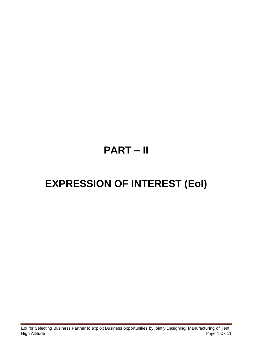## **PART – II**

## **EXPRESSION OF INTEREST (EoI)**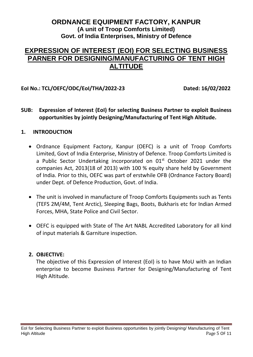#### **ORDNANCE EQUIPMENT FACTORY, KANPUR (A unit of Troop Comforts Limited) Govt. of India Enterprises, Ministry of Defence**

### **EXPRESSION OF INTEREST (EOI) FOR SELECTING BUSINESS PARNER FOR DESIGNING/MANUFACTURING OF TENT HIGH ALTITUDE**

**EoI No.: TCL/OEFC/ODC/EoI/THA/2022-23 Dated: 16/02/2022**

**SUB: Expression of Interest (EoI) for selecting Business Partner to exploit Business opportunities by jointly Designing/Manufacturing of Tent High Altitude.**

#### **1. INTRODUCTION**

- Ordnance Equipment Factory, Kanpur (OEFC) is a unit of Troop Comforts Limited, Govt of India Enterprise, Ministry of Defence. Troop Comforts Limited is a Public Sector Undertaking incorporated on 01<sup>st</sup> October 2021 under the companies Act, 2013(18 of 2013) with 100 % equity share held by Government of India. Prior to this, OEFC was part of erstwhile OFB (Ordnance Factory Board) under Dept. of Defence Production, Govt. of India.
- The unit is involved in manufacture of Troop Comforts Equipments such as Tents (TEFS 2M/4M, Tent Arctic), Sleeping Bags, Boots, Bukharis etc for Indian Armed Forces, MHA, State Police and Civil Sector.
- OEFC is equipped with State of The Art NABL Accredited Laboratory for all kind of input materials & Garniture inspection.

#### **2. OBJECTIVE:**

The objective of this Expression of Interest (EoI) is to have MoU with an Indian enterprise to become Business Partner for Designing/Manufacturing of Tent High Altitude.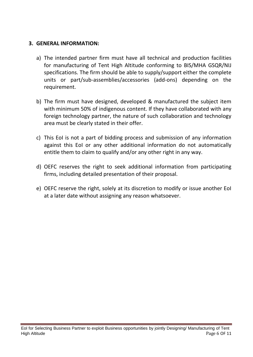#### **3. GENERAL INFORMATION:**

- a) The intended partner firm must have all technical and production facilities for manufacturing of Tent High Altitude conforming to BIS/MHA GSQR/NIJ specifications. The firm should be able to supply/support either the complete units or part/sub-assemblies/accessories (add-ons) depending on the requirement.
- b) The firm must have designed, developed & manufactured the subject item with minimum 50% of indigenous content. If they have collaborated with any foreign technology partner, the nature of such collaboration and technology area must be clearly stated in their offer.
- c) This EoI is not a part of bidding process and submission of any information against this EoI or any other additional information do not automatically entitle them to claim to qualify and/or any other right in any way.
- d) OEFC reserves the right to seek additional information from participating firms, including detailed presentation of their proposal.
- e) OEFC reserve the right, solely at its discretion to modify or issue another EoI at a later date without assigning any reason whatsoever.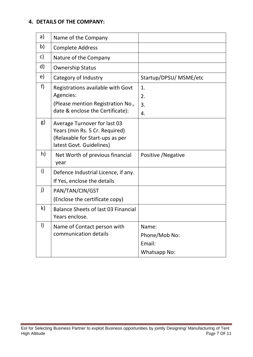#### **4. DETAILS OF THE COMPANY:**

| a)           | Name of the Company                                                                                                           |                                                  |
|--------------|-------------------------------------------------------------------------------------------------------------------------------|--------------------------------------------------|
| b)           | <b>Complete Address</b>                                                                                                       |                                                  |
| c)           | Nature of the Company                                                                                                         |                                                  |
| d)           | <b>Ownership Status</b>                                                                                                       |                                                  |
| e)           | Category of Industry                                                                                                          | Startup/DPSU/ MSME/etc                           |
| f)           | Registrations available with Govt<br>Agencies:<br>(Please mention Registration No.,<br>date & enclose the Certificate):       | 1.<br>2.<br>3.<br>4.                             |
| g)           | Average Turnover for last 03<br>Years (min Rs. 5 Cr. Required)<br>(Relaxable for Start-ups as per<br>latest Govt. Guidelines) |                                                  |
| h)           | Net Worth of previous financial<br>year                                                                                       | Positive / Negative                              |
| i)           | Defence Industrial Licence, if any.<br>If Yes, enclose the details                                                            |                                                  |
| j)           | PAN/TAN/CIN/GST<br>(Enclose the certificate copy)                                                                             |                                                  |
| $\mathsf{k}$ | Balance Sheets of last 03 Financial<br>Years enclose.                                                                         |                                                  |
| $\vert$      | Name of Contact person with<br>communication details                                                                          | Name:<br>Phone/Mob No:<br>Email:<br>Whatsapp No: |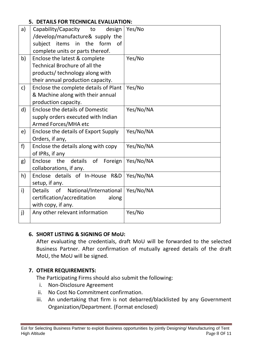#### **5. DETAILS FOR TECHNICAL EVALUATION:**

| a)           | Capability/Capacity to<br>design<br>/develop/manufacture& supply the<br>subject items in the<br>form<br>0f<br>complete units or parts thereof. | Yes/No    |
|--------------|------------------------------------------------------------------------------------------------------------------------------------------------|-----------|
| b)           | Enclose the latest & complete<br><b>Technical Brochure of all the</b><br>products/ technology along with<br>their annual production capacity.  | Yes/No    |
| $\mathsf{c}$ | Enclose the complete details of Plant<br>& Machine along with their annual<br>production capacity.                                             | Yes/No    |
| $\mathsf{d}$ | Enclose the details of Domestic<br>supply orders executed with Indian<br>Armed Forces/MHA etc                                                  | Yes/No/NA |
| e)           | Enclose the details of Export Supply<br>Orders, if any,                                                                                        | Yes/No/NA |
| f)           | Enclose the details along with copy<br>of IPRs, if any                                                                                         | Yes/No/NA |
| g)           | the<br>details of Foreign<br>Enclose<br>collaborations, if any.                                                                                | Yes/No/NA |
| h)           | Enclose details of In-House R&D<br>setup, if any.                                                                                              | Yes/No/NA |
| i)           | of<br>National/International<br><b>Details</b><br>certification/accreditation<br>along<br>with copy, if any.                                   | Yes/No/NA |
| j)           | Any other relevant information                                                                                                                 | Yes/No    |

#### **6. SHORT LISTING & SIGNING OF MoU:**

After evaluating the credentials, draft MoU will be forwarded to the selected Business Partner. After confirmation of mutually agreed details of the draft MoU, the MoU will be signed.

#### **7. OTHER REQUIREMENTS:**

The Participating Firms should also submit the following:

- i. Non-Disclosure Agreement
- ii. No Cost No Commitment confirmation.
- iii. An undertaking that firm is not debarred/blacklisted by any Government Organization/Department. (Format enclosed)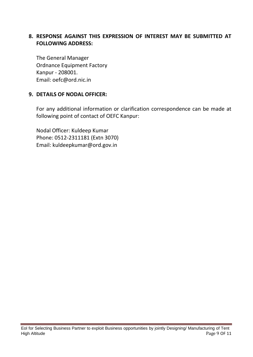#### **8. RESPONSE AGAINST THIS EXPRESSION OF INTEREST MAY BE SUBMITTED AT FOLLOWING ADDRESS:**

The General Manager Ordnance Equipment Factory Kanpur - 208001. Email: oefc@ord.nic.in

#### **9. DETAILS OF NODAL OFFICER:**

For any additional information or clarification correspondence can be made at following point of contact of OEFC Kanpur:

Nodal Officer: Kuldeep Kumar Phone: 0512-2311181 (Extn 3070) Email: kuldeepkumar@ord.gov.in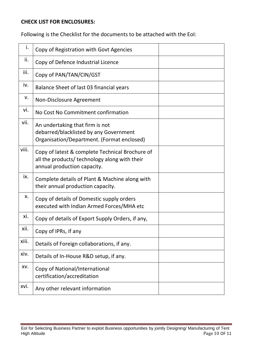#### **CHECK LIST FOR ENCLOSURES:**

Following is the Checklist for the documents to be attached with the EoI:

| i.    | Copy of Registration with Govt Agencies                                                                                         |
|-------|---------------------------------------------------------------------------------------------------------------------------------|
| ii.   | Copy of Defence Industrial Licence                                                                                              |
| iii.  | Copy of PAN/TAN/CIN/GST                                                                                                         |
| iv.   | Balance Sheet of last 03 financial years                                                                                        |
| v.    | Non-Disclosure Agreement                                                                                                        |
| vi.   | No Cost No Commitment confirmation                                                                                              |
| vii.  | An undertaking that firm is not<br>debarred/blacklisted by any Government<br>Organisation/Department. (Format enclosed)         |
| viii. | Copy of latest & complete Technical Brochure of<br>all the products/ technology along with their<br>annual production capacity. |
| ix.   | Complete details of Plant & Machine along with<br>their annual production capacity.                                             |
| х.    | Copy of details of Domestic supply orders<br>executed with Indian Armed Forces/MHA etc                                          |
| xi.   | Copy of details of Export Supply Orders, if any,                                                                                |
| xii.  | Copy of IPRs, if any                                                                                                            |
| xiii. | Details of Foreign collaborations, if any.                                                                                      |
| xiv.  | Details of In-House R&D setup, if any.                                                                                          |
| XV.   | Copy of National/International<br>certification/accreditation                                                                   |
| xvi.  | Any other relevant information                                                                                                  |